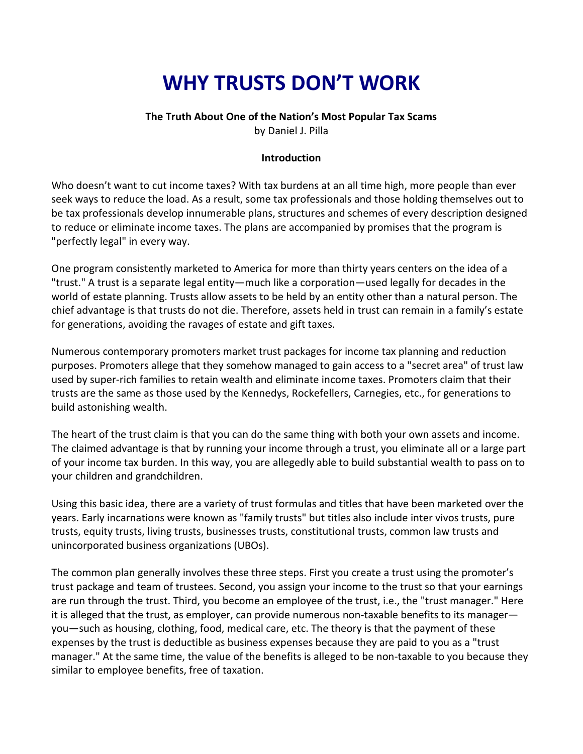# **WHY TRUSTS DON'T WORK**

#### **The Truth About One of the Nation's Most Popular Tax Scams**

by Daniel J. Pilla

#### **Introduction**

Who doesn't want to cut income taxes? With tax burdens at an all time high, more people than ever seek ways to reduce the load. As a result, some tax professionals and those holding themselves out to be tax professionals develop innumerable plans, structures and schemes of every description designed to reduce or eliminate income taxes. The plans are accompanied by promises that the program is "perfectly legal" in every way.

One program consistently marketed to America for more than thirty years centers on the idea of a "trust." A trust is a separate legal entity—much like a corporation—used legally for decades in the world of estate planning. Trusts allow assets to be held by an entity other than a natural person. The chief advantage is that trusts do not die. Therefore, assets held in trust can remain in a family's estate for generations, avoiding the ravages of estate and gift taxes.

Numerous contemporary promoters market trust packages for income tax planning and reduction purposes. Promoters allege that they somehow managed to gain access to a "secret area" of trust law used by super-rich families to retain wealth and eliminate income taxes. Promoters claim that their trusts are the same as those used by the Kennedys, Rockefellers, Carnegies, etc., for generations to build astonishing wealth.

The heart of the trust claim is that you can do the same thing with both your own assets and income. The claimed advantage is that by running your income through a trust, you eliminate all or a large part of your income tax burden. In this way, you are allegedly able to build substantial wealth to pass on to your children and grandchildren.

Using this basic idea, there are a variety of trust formulas and titles that have been marketed over the years. Early incarnations were known as "family trusts" but titles also include inter vivos trusts, pure trusts, equity trusts, living trusts, businesses trusts, constitutional trusts, common law trusts and unincorporated business organizations (UBOs).

The common plan generally involves these three steps. First you create a trust using the promoter's trust package and team of trustees. Second, you assign your income to the trust so that your earnings are run through the trust. Third, you become an employee of the trust, i.e., the "trust manager." Here it is alleged that the trust, as employer, can provide numerous non-taxable benefits to its manager you—such as housing, clothing, food, medical care, etc. The theory is that the payment of these expenses by the trust is deductible as business expenses because they are paid to you as a "trust manager." At the same time, the value of the benefits is alleged to be non-taxable to you because they similar to employee benefits, free of taxation.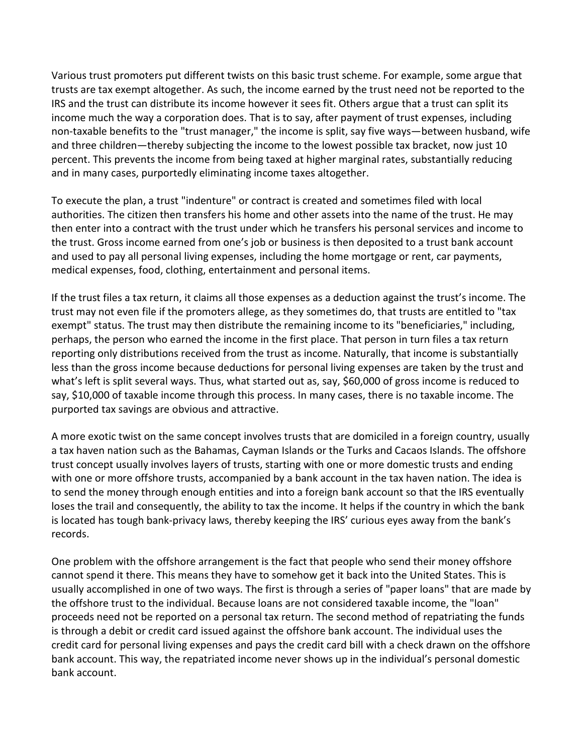Various trust promoters put different twists on this basic trust scheme. For example, some argue that trusts are tax exempt altogether. As such, the income earned by the trust need not be reported to the IRS and the trust can distribute its income however it sees fit. Others argue that a trust can split its income much the way a corporation does. That is to say, after payment of trust expenses, including non-taxable benefits to the "trust manager," the income is split, say five ways—between husband, wife and three children—thereby subjecting the income to the lowest possible tax bracket, now just 10 percent. This prevents the income from being taxed at higher marginal rates, substantially reducing and in many cases, purportedly eliminating income taxes altogether.

To execute the plan, a trust "indenture" or contract is created and sometimes filed with local authorities. The citizen then transfers his home and other assets into the name of the trust. He may then enter into a contract with the trust under which he transfers his personal services and income to the trust. Gross income earned from one's job or business is then deposited to a trust bank account and used to pay all personal living expenses, including the home mortgage or rent, car payments, medical expenses, food, clothing, entertainment and personal items.

If the trust files a tax return, it claims all those expenses as a deduction against the trust's income. The trust may not even file if the promoters allege, as they sometimes do, that trusts are entitled to "tax exempt" status. The trust may then distribute the remaining income to its "beneficiaries," including, perhaps, the person who earned the income in the first place. That person in turn files a tax return reporting only distributions received from the trust as income. Naturally, that income is substantially less than the gross income because deductions for personal living expenses are taken by the trust and what's left is split several ways. Thus, what started out as, say, \$60,000 of gross income is reduced to say, \$10,000 of taxable income through this process. In many cases, there is no taxable income. The purported tax savings are obvious and attractive.

A more exotic twist on the same concept involves trusts that are domiciled in a foreign country, usually a tax haven nation such as the Bahamas, Cayman Islands or the Turks and Cacaos Islands. The offshore trust concept usually involves layers of trusts, starting with one or more domestic trusts and ending with one or more offshore trusts, accompanied by a bank account in the tax haven nation. The idea is to send the money through enough entities and into a foreign bank account so that the IRS eventually loses the trail and consequently, the ability to tax the income. It helps if the country in which the bank is located has tough bank-privacy laws, thereby keeping the IRS' curious eyes away from the bank's records.

One problem with the offshore arrangement is the fact that people who send their money offshore cannot spend it there. This means they have to somehow get it back into the United States. This is usually accomplished in one of two ways. The first is through a series of "paper loans" that are made by the offshore trust to the individual. Because loans are not considered taxable income, the "loan" proceeds need not be reported on a personal tax return. The second method of repatriating the funds is through a debit or credit card issued against the offshore bank account. The individual uses the credit card for personal living expenses and pays the credit card bill with a check drawn on the offshore bank account. This way, the repatriated income never shows up in the individual's personal domestic bank account.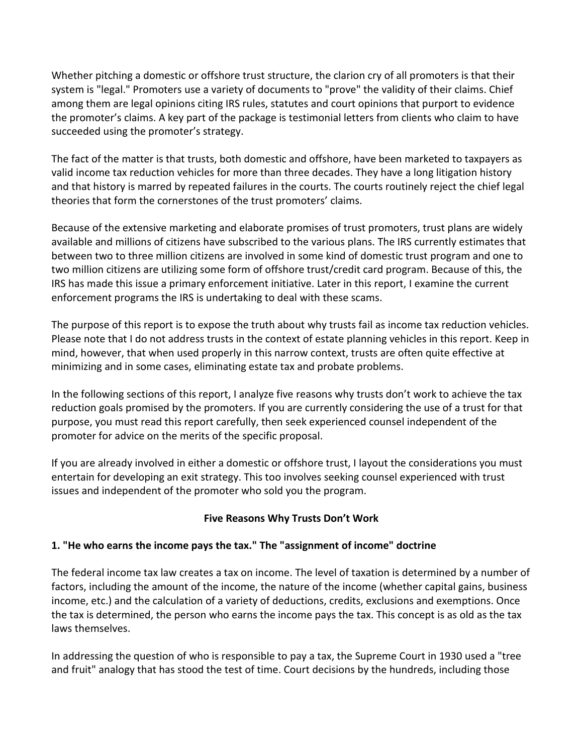Whether pitching a domestic or offshore trust structure, the clarion cry of all promoters is that their system is "legal." Promoters use a variety of documents to "prove" the validity of their claims. Chief among them are legal opinions citing IRS rules, statutes and court opinions that purport to evidence the promoter's claims. A key part of the package is testimonial letters from clients who claim to have succeeded using the promoter's strategy.

The fact of the matter is that trusts, both domestic and offshore, have been marketed to taxpayers as valid income tax reduction vehicles for more than three decades. They have a long litigation history and that history is marred by repeated failures in the courts. The courts routinely reject the chief legal theories that form the cornerstones of the trust promoters' claims.

Because of the extensive marketing and elaborate promises of trust promoters, trust plans are widely available and millions of citizens have subscribed to the various plans. The IRS currently estimates that between two to three million citizens are involved in some kind of domestic trust program and one to two million citizens are utilizing some form of offshore trust/credit card program. Because of this, the IRS has made this issue a primary enforcement initiative. Later in this report, I examine the current enforcement programs the IRS is undertaking to deal with these scams.

The purpose of this report is to expose the truth about why trusts fail as income tax reduction vehicles. Please note that I do not address trusts in the context of estate planning vehicles in this report. Keep in mind, however, that when used properly in this narrow context, trusts are often quite effective at minimizing and in some cases, eliminating estate tax and probate problems.

In the following sections of this report, I analyze five reasons why trusts don't work to achieve the tax reduction goals promised by the promoters. If you are currently considering the use of a trust for that purpose, you must read this report carefully, then seek experienced counsel independent of the promoter for advice on the merits of the specific proposal.

If you are already involved in either a domestic or offshore trust, I layout the considerations you must entertain for developing an exit strategy. This too involves seeking counsel experienced with trust issues and independent of the promoter who sold you the program.

# **Five Reasons Why Trusts Don't Work**

# **1. "He who earns the income pays the tax." The "assignment of income" doctrine**

The federal income tax law creates a tax on income. The level of taxation is determined by a number of factors, including the amount of the income, the nature of the income (whether capital gains, business income, etc.) and the calculation of a variety of deductions, credits, exclusions and exemptions. Once the tax is determined, the person who earns the income pays the tax. This concept is as old as the tax laws themselves.

In addressing the question of who is responsible to pay a tax, the Supreme Court in 1930 used a "tree and fruit" analogy that has stood the test of time. Court decisions by the hundreds, including those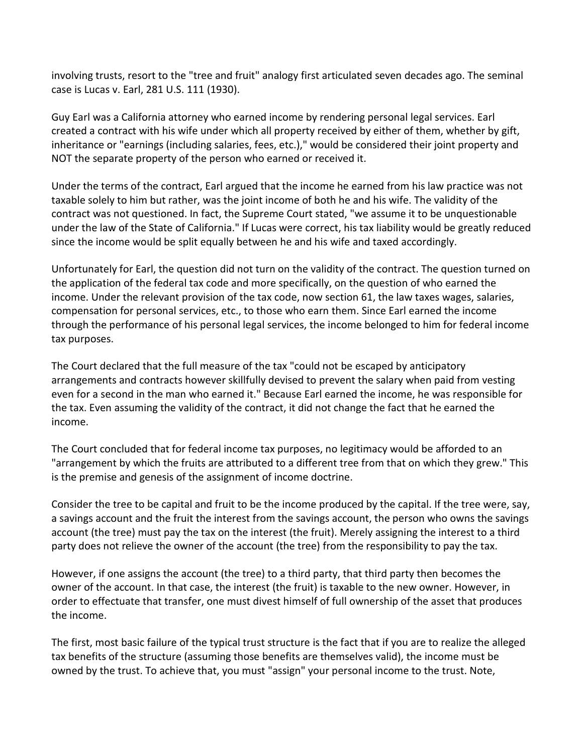involving trusts, resort to the "tree and fruit" analogy first articulated seven decades ago. The seminal case is Lucas v. Earl, 281 U.S. 111 (1930).

Guy Earl was a California attorney who earned income by rendering personal legal services. Earl created a contract with his wife under which all property received by either of them, whether by gift, inheritance or "earnings (including salaries, fees, etc.)," would be considered their joint property and NOT the separate property of the person who earned or received it.

Under the terms of the contract, Earl argued that the income he earned from his law practice was not taxable solely to him but rather, was the joint income of both he and his wife. The validity of the contract was not questioned. In fact, the Supreme Court stated, "we assume it to be unquestionable under the law of the State of California." If Lucas were correct, his tax liability would be greatly reduced since the income would be split equally between he and his wife and taxed accordingly.

Unfortunately for Earl, the question did not turn on the validity of the contract. The question turned on the application of the federal tax code and more specifically, on the question of who earned the income. Under the relevant provision of the tax code, now section 61, the law taxes wages, salaries, compensation for personal services, etc., to those who earn them. Since Earl earned the income through the performance of his personal legal services, the income belonged to him for federal income tax purposes.

The Court declared that the full measure of the tax "could not be escaped by anticipatory arrangements and contracts however skillfully devised to prevent the salary when paid from vesting even for a second in the man who earned it." Because Earl earned the income, he was responsible for the tax. Even assuming the validity of the contract, it did not change the fact that he earned the income.

The Court concluded that for federal income tax purposes, no legitimacy would be afforded to an "arrangement by which the fruits are attributed to a different tree from that on which they grew." This is the premise and genesis of the assignment of income doctrine.

Consider the tree to be capital and fruit to be the income produced by the capital. If the tree were, say, a savings account and the fruit the interest from the savings account, the person who owns the savings account (the tree) must pay the tax on the interest (the fruit). Merely assigning the interest to a third party does not relieve the owner of the account (the tree) from the responsibility to pay the tax.

However, if one assigns the account (the tree) to a third party, that third party then becomes the owner of the account. In that case, the interest (the fruit) is taxable to the new owner. However, in order to effectuate that transfer, one must divest himself of full ownership of the asset that produces the income.

The first, most basic failure of the typical trust structure is the fact that if you are to realize the alleged tax benefits of the structure (assuming those benefits are themselves valid), the income must be owned by the trust. To achieve that, you must "assign" your personal income to the trust. Note,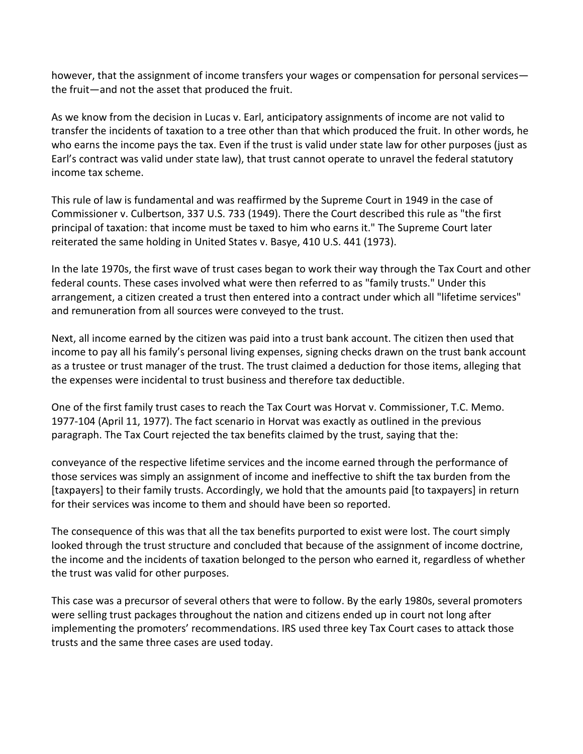however, that the assignment of income transfers your wages or compensation for personal services the fruit—and not the asset that produced the fruit.

As we know from the decision in Lucas v. Earl, anticipatory assignments of income are not valid to transfer the incidents of taxation to a tree other than that which produced the fruit. In other words, he who earns the income pays the tax. Even if the trust is valid under state law for other purposes (just as Earl's contract was valid under state law), that trust cannot operate to unravel the federal statutory income tax scheme.

This rule of law is fundamental and was reaffirmed by the Supreme Court in 1949 in the case of Commissioner v. Culbertson, 337 U.S. 733 (1949). There the Court described this rule as "the first principal of taxation: that income must be taxed to him who earns it." The Supreme Court later reiterated the same holding in United States v. Basye, 410 U.S. 441 (1973).

In the late 1970s, the first wave of trust cases began to work their way through the Tax Court and other federal counts. These cases involved what were then referred to as "family trusts." Under this arrangement, a citizen created a trust then entered into a contract under which all "lifetime services" and remuneration from all sources were conveyed to the trust.

Next, all income earned by the citizen was paid into a trust bank account. The citizen then used that income to pay all his family's personal living expenses, signing checks drawn on the trust bank account as a trustee or trust manager of the trust. The trust claimed a deduction for those items, alleging that the expenses were incidental to trust business and therefore tax deductible.

One of the first family trust cases to reach the Tax Court was Horvat v. Commissioner, T.C. Memo. 1977-104 (April 11, 1977). The fact scenario in Horvat was exactly as outlined in the previous paragraph. The Tax Court rejected the tax benefits claimed by the trust, saying that the:

conveyance of the respective lifetime services and the income earned through the performance of those services was simply an assignment of income and ineffective to shift the tax burden from the [taxpayers] to their family trusts. Accordingly, we hold that the amounts paid [to taxpayers] in return for their services was income to them and should have been so reported.

The consequence of this was that all the tax benefits purported to exist were lost. The court simply looked through the trust structure and concluded that because of the assignment of income doctrine, the income and the incidents of taxation belonged to the person who earned it, regardless of whether the trust was valid for other purposes.

This case was a precursor of several others that were to follow. By the early 1980s, several promoters were selling trust packages throughout the nation and citizens ended up in court not long after implementing the promoters' recommendations. IRS used three key Tax Court cases to attack those trusts and the same three cases are used today.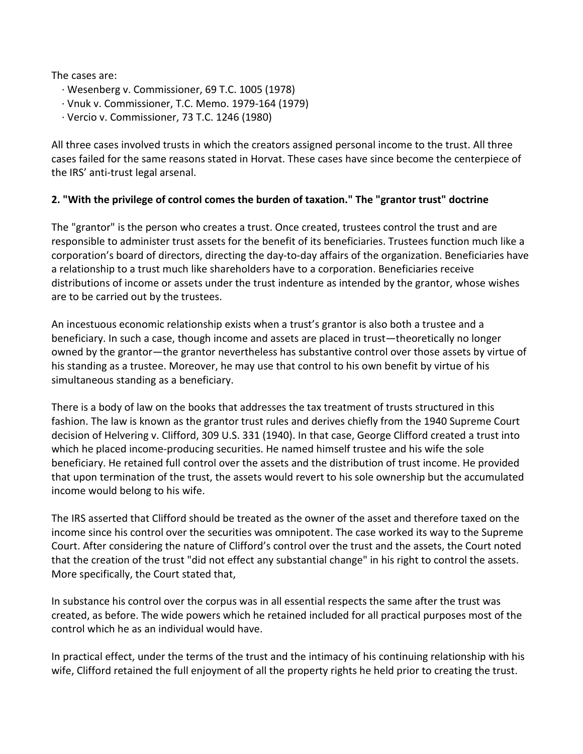The cases are:

- · Wesenberg v. Commissioner, 69 T.C. 1005 (1978)
- · Vnuk v. Commissioner, T.C. Memo. 1979-164 (1979)
- · Vercio v. Commissioner, 73 T.C. 1246 (1980)

All three cases involved trusts in which the creators assigned personal income to the trust. All three cases failed for the same reasons stated in Horvat. These cases have since become the centerpiece of the IRS' anti-trust legal arsenal.

#### **2. "With the privilege of control comes the burden of taxation." The "grantor trust" doctrine**

The "grantor" is the person who creates a trust. Once created, trustees control the trust and are responsible to administer trust assets for the benefit of its beneficiaries. Trustees function much like a corporation's board of directors, directing the day-to-day affairs of the organization. Beneficiaries have a relationship to a trust much like shareholders have to a corporation. Beneficiaries receive distributions of income or assets under the trust indenture as intended by the grantor, whose wishes are to be carried out by the trustees.

An incestuous economic relationship exists when a trust's grantor is also both a trustee and a beneficiary. In such a case, though income and assets are placed in trust—theoretically no longer owned by the grantor—the grantor nevertheless has substantive control over those assets by virtue of his standing as a trustee. Moreover, he may use that control to his own benefit by virtue of his simultaneous standing as a beneficiary.

There is a body of law on the books that addresses the tax treatment of trusts structured in this fashion. The law is known as the grantor trust rules and derives chiefly from the 1940 Supreme Court decision of Helvering v. Clifford, 309 U.S. 331 (1940). In that case, George Clifford created a trust into which he placed income-producing securities. He named himself trustee and his wife the sole beneficiary. He retained full control over the assets and the distribution of trust income. He provided that upon termination of the trust, the assets would revert to his sole ownership but the accumulated income would belong to his wife.

The IRS asserted that Clifford should be treated as the owner of the asset and therefore taxed on the income since his control over the securities was omnipotent. The case worked its way to the Supreme Court. After considering the nature of Clifford's control over the trust and the assets, the Court noted that the creation of the trust "did not effect any substantial change" in his right to control the assets. More specifically, the Court stated that,

In substance his control over the corpus was in all essential respects the same after the trust was created, as before. The wide powers which he retained included for all practical purposes most of the control which he as an individual would have.

In practical effect, under the terms of the trust and the intimacy of his continuing relationship with his wife, Clifford retained the full enjoyment of all the property rights he held prior to creating the trust.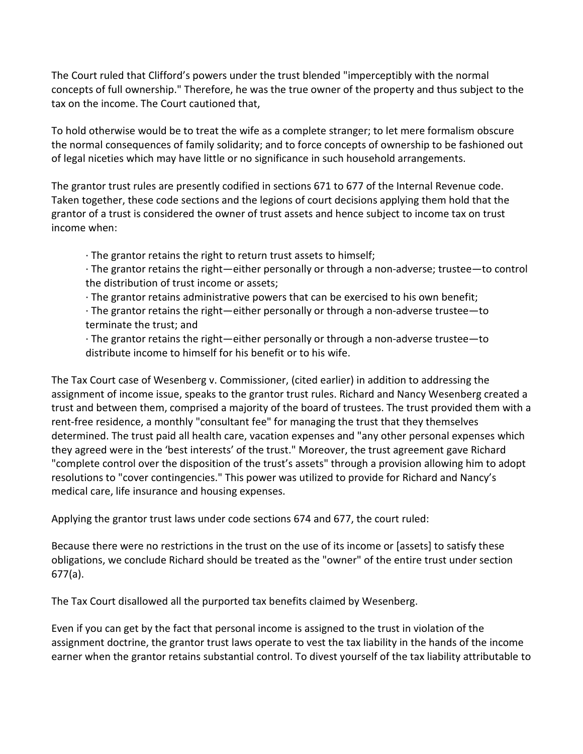The Court ruled that Clifford's powers under the trust blended "imperceptibly with the normal concepts of full ownership." Therefore, he was the true owner of the property and thus subject to the tax on the income. The Court cautioned that,

To hold otherwise would be to treat the wife as a complete stranger; to let mere formalism obscure the normal consequences of family solidarity; and to force concepts of ownership to be fashioned out of legal niceties which may have little or no significance in such household arrangements.

The grantor trust rules are presently codified in sections 671 to 677 of the Internal Revenue code. Taken together, these code sections and the legions of court decisions applying them hold that the grantor of a trust is considered the owner of trust assets and hence subject to income tax on trust income when:

· The grantor retains the right to return trust assets to himself;

· The grantor retains the right—either personally or through a non-adverse; trustee—to control the distribution of trust income or assets;

· The grantor retains administrative powers that can be exercised to his own benefit;

· The grantor retains the right—either personally or through a non-adverse trustee—to terminate the trust; and

· The grantor retains the right—either personally or through a non-adverse trustee—to distribute income to himself for his benefit or to his wife.

The Tax Court case of Wesenberg v. Commissioner, (cited earlier) in addition to addressing the assignment of income issue, speaks to the grantor trust rules. Richard and Nancy Wesenberg created a trust and between them, comprised a majority of the board of trustees. The trust provided them with a rent-free residence, a monthly "consultant fee" for managing the trust that they themselves determined. The trust paid all health care, vacation expenses and "any other personal expenses which they agreed were in the 'best interests' of the trust." Moreover, the trust agreement gave Richard "complete control over the disposition of the trust's assets" through a provision allowing him to adopt resolutions to "cover contingencies." This power was utilized to provide for Richard and Nancy's medical care, life insurance and housing expenses.

Applying the grantor trust laws under code sections 674 and 677, the court ruled:

Because there were no restrictions in the trust on the use of its income or [assets] to satisfy these obligations, we conclude Richard should be treated as the "owner" of the entire trust under section 677(a).

The Tax Court disallowed all the purported tax benefits claimed by Wesenberg.

Even if you can get by the fact that personal income is assigned to the trust in violation of the assignment doctrine, the grantor trust laws operate to vest the tax liability in the hands of the income earner when the grantor retains substantial control. To divest yourself of the tax liability attributable to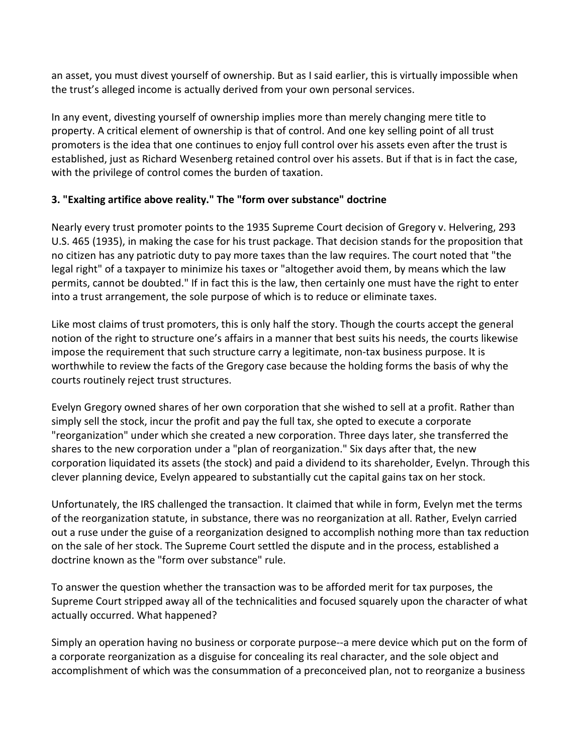an asset, you must divest yourself of ownership. But as I said earlier, this is virtually impossible when the trust's alleged income is actually derived from your own personal services.

In any event, divesting yourself of ownership implies more than merely changing mere title to property. A critical element of ownership is that of control. And one key selling point of all trust promoters is the idea that one continues to enjoy full control over his assets even after the trust is established, just as Richard Wesenberg retained control over his assets. But if that is in fact the case, with the privilege of control comes the burden of taxation.

#### **3. "Exalting artifice above reality." The "form over substance" doctrine**

Nearly every trust promoter points to the 1935 Supreme Court decision of Gregory v. Helvering, 293 U.S. 465 (1935), in making the case for his trust package. That decision stands for the proposition that no citizen has any patriotic duty to pay more taxes than the law requires. The court noted that "the legal right" of a taxpayer to minimize his taxes or "altogether avoid them, by means which the law permits, cannot be doubted." If in fact this is the law, then certainly one must have the right to enter into a trust arrangement, the sole purpose of which is to reduce or eliminate taxes.

Like most claims of trust promoters, this is only half the story. Though the courts accept the general notion of the right to structure one's affairs in a manner that best suits his needs, the courts likewise impose the requirement that such structure carry a legitimate, non-tax business purpose. It is worthwhile to review the facts of the Gregory case because the holding forms the basis of why the courts routinely reject trust structures.

Evelyn Gregory owned shares of her own corporation that she wished to sell at a profit. Rather than simply sell the stock, incur the profit and pay the full tax, she opted to execute a corporate "reorganization" under which she created a new corporation. Three days later, she transferred the shares to the new corporation under a "plan of reorganization." Six days after that, the new corporation liquidated its assets (the stock) and paid a dividend to its shareholder, Evelyn. Through this clever planning device, Evelyn appeared to substantially cut the capital gains tax on her stock.

Unfortunately, the IRS challenged the transaction. It claimed that while in form, Evelyn met the terms of the reorganization statute, in substance, there was no reorganization at all. Rather, Evelyn carried out a ruse under the guise of a reorganization designed to accomplish nothing more than tax reduction on the sale of her stock. The Supreme Court settled the dispute and in the process, established a doctrine known as the "form over substance" rule.

To answer the question whether the transaction was to be afforded merit for tax purposes, the Supreme Court stripped away all of the technicalities and focused squarely upon the character of what actually occurred. What happened?

Simply an operation having no business or corporate purpose--a mere device which put on the form of a corporate reorganization as a disguise for concealing its real character, and the sole object and accomplishment of which was the consummation of a preconceived plan, not to reorganize a business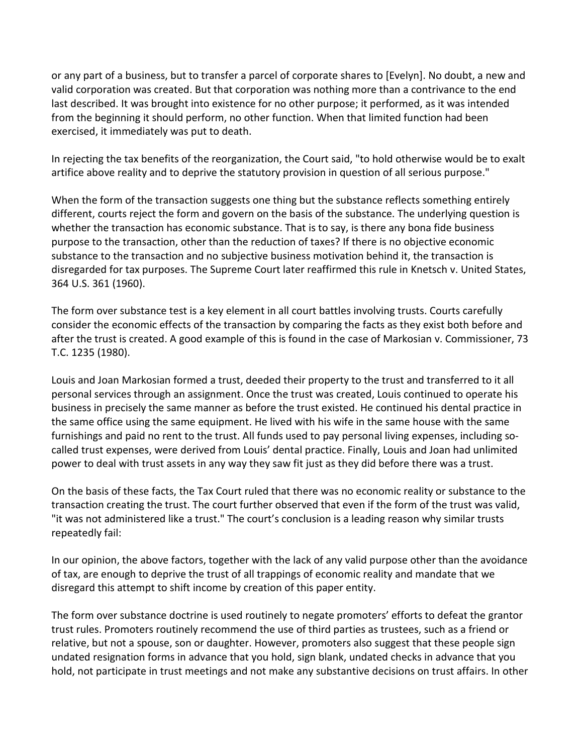or any part of a business, but to transfer a parcel of corporate shares to [Evelyn]. No doubt, a new and valid corporation was created. But that corporation was nothing more than a contrivance to the end last described. It was brought into existence for no other purpose; it performed, as it was intended from the beginning it should perform, no other function. When that limited function had been exercised, it immediately was put to death.

In rejecting the tax benefits of the reorganization, the Court said, "to hold otherwise would be to exalt artifice above reality and to deprive the statutory provision in question of all serious purpose."

When the form of the transaction suggests one thing but the substance reflects something entirely different, courts reject the form and govern on the basis of the substance. The underlying question is whether the transaction has economic substance. That is to say, is there any bona fide business purpose to the transaction, other than the reduction of taxes? If there is no objective economic substance to the transaction and no subjective business motivation behind it, the transaction is disregarded for tax purposes. The Supreme Court later reaffirmed this rule in Knetsch v. United States, 364 U.S. 361 (1960).

The form over substance test is a key element in all court battles involving trusts. Courts carefully consider the economic effects of the transaction by comparing the facts as they exist both before and after the trust is created. A good example of this is found in the case of Markosian v. Commissioner, 73 T.C. 1235 (1980).

Louis and Joan Markosian formed a trust, deeded their property to the trust and transferred to it all personal services through an assignment. Once the trust was created, Louis continued to operate his business in precisely the same manner as before the trust existed. He continued his dental practice in the same office using the same equipment. He lived with his wife in the same house with the same furnishings and paid no rent to the trust. All funds used to pay personal living expenses, including socalled trust expenses, were derived from Louis' dental practice. Finally, Louis and Joan had unlimited power to deal with trust assets in any way they saw fit just as they did before there was a trust.

On the basis of these facts, the Tax Court ruled that there was no economic reality or substance to the transaction creating the trust. The court further observed that even if the form of the trust was valid, "it was not administered like a trust." The court's conclusion is a leading reason why similar trusts repeatedly fail:

In our opinion, the above factors, together with the lack of any valid purpose other than the avoidance of tax, are enough to deprive the trust of all trappings of economic reality and mandate that we disregard this attempt to shift income by creation of this paper entity.

The form over substance doctrine is used routinely to negate promoters' efforts to defeat the grantor trust rules. Promoters routinely recommend the use of third parties as trustees, such as a friend or relative, but not a spouse, son or daughter. However, promoters also suggest that these people sign undated resignation forms in advance that you hold, sign blank, undated checks in advance that you hold, not participate in trust meetings and not make any substantive decisions on trust affairs. In other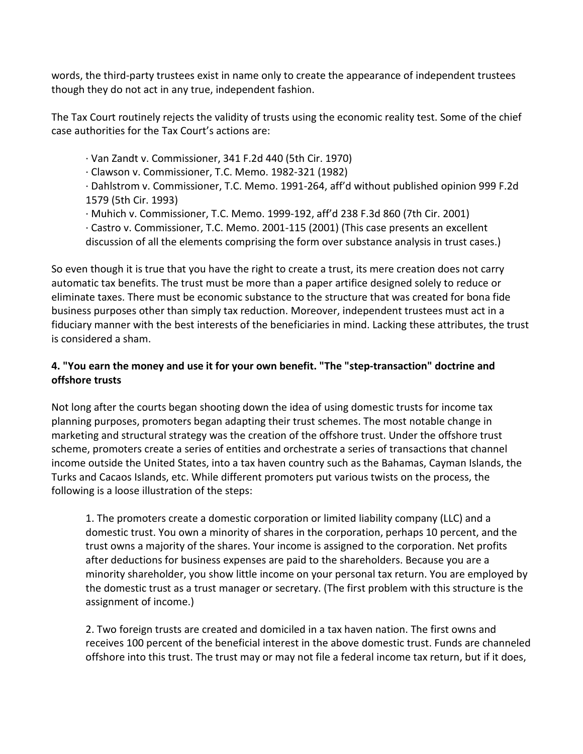words, the third-party trustees exist in name only to create the appearance of independent trustees though they do not act in any true, independent fashion.

The Tax Court routinely rejects the validity of trusts using the economic reality test. Some of the chief case authorities for the Tax Court's actions are:

· Van Zandt v. Commissioner, 341 F.2d 440 (5th Cir. 1970)

· Clawson v. Commissioner, T.C. Memo. 1982-321 (1982)

· Dahlstrom v. Commissioner, T.C. Memo. 1991-264, aff'd without published opinion 999 F.2d 1579 (5th Cir. 1993)

· Muhich v. Commissioner, T.C. Memo. 1999-192, aff'd 238 F.3d 860 (7th Cir. 2001)

· Castro v. Commissioner, T.C. Memo. 2001-115 (2001) (This case presents an excellent

discussion of all the elements comprising the form over substance analysis in trust cases.)

So even though it is true that you have the right to create a trust, its mere creation does not carry automatic tax benefits. The trust must be more than a paper artifice designed solely to reduce or eliminate taxes. There must be economic substance to the structure that was created for bona fide business purposes other than simply tax reduction. Moreover, independent trustees must act in a fiduciary manner with the best interests of the beneficiaries in mind. Lacking these attributes, the trust is considered a sham.

### **4. "You earn the money and use it for your own benefit. "The "step-transaction" doctrine and offshore trusts**

Not long after the courts began shooting down the idea of using domestic trusts for income tax planning purposes, promoters began adapting their trust schemes. The most notable change in marketing and structural strategy was the creation of the offshore trust. Under the offshore trust scheme, promoters create a series of entities and orchestrate a series of transactions that channel income outside the United States, into a tax haven country such as the Bahamas, Cayman Islands, the Turks and Cacaos Islands, etc. While different promoters put various twists on the process, the following is a loose illustration of the steps:

1. The promoters create a domestic corporation or limited liability company (LLC) and a domestic trust. You own a minority of shares in the corporation, perhaps 10 percent, and the trust owns a majority of the shares. Your income is assigned to the corporation. Net profits after deductions for business expenses are paid to the shareholders. Because you are a minority shareholder, you show little income on your personal tax return. You are employed by the domestic trust as a trust manager or secretary. (The first problem with this structure is the assignment of income.)

2. Two foreign trusts are created and domiciled in a tax haven nation. The first owns and receives 100 percent of the beneficial interest in the above domestic trust. Funds are channeled offshore into this trust. The trust may or may not file a federal income tax return, but if it does,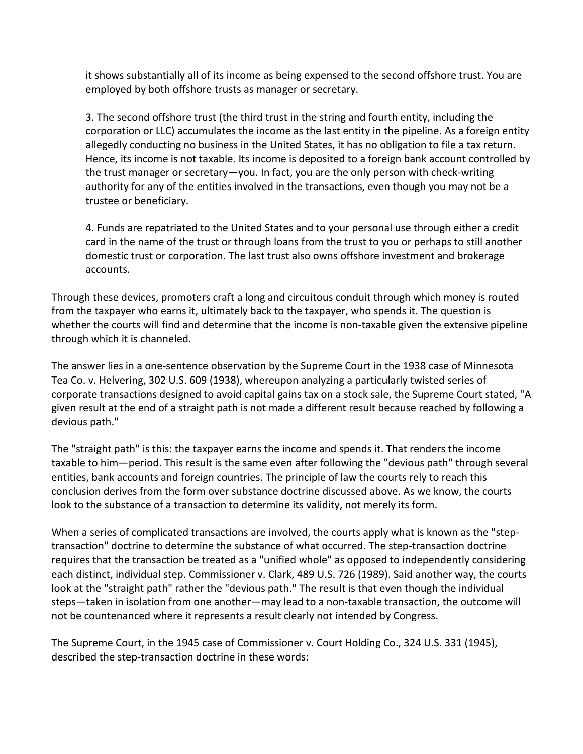it shows substantially all of its income as being expensed to the second offshore trust. You are employed by both offshore trusts as manager or secretary.

3. The second offshore trust (the third trust in the string and fourth entity, including the corporation or LLC) accumulates the income as the last entity in the pipeline. As a foreign entity allegedly conducting no business in the United States, it has no obligation to file a tax return. Hence, its income is not taxable. Its income is deposited to a foreign bank account controlled by the trust manager or secretary—you. In fact, you are the only person with check-writing authority for any of the entities involved in the transactions, even though you may not be a trustee or beneficiary.

4. Funds are repatriated to the United States and to your personal use through either a credit card in the name of the trust or through loans from the trust to you or perhaps to still another domestic trust or corporation. The last trust also owns offshore investment and brokerage accounts.

Through these devices, promoters craft a long and circuitous conduit through which money is routed from the taxpayer who earns it, ultimately back to the taxpayer, who spends it. The question is whether the courts will find and determine that the income is non-taxable given the extensive pipeline through which it is channeled.

The answer lies in a one-sentence observation by the Supreme Court in the 1938 case of Minnesota Tea Co. v. Helvering, 302 U.S. 609 (1938), whereupon analyzing a particularly twisted series of corporate transactions designed to avoid capital gains tax on a stock sale, the Supreme Court stated, "A given result at the end of a straight path is not made a different result because reached by following a devious path."

The "straight path" is this: the taxpayer earns the income and spends it. That renders the income taxable to him—period. This result is the same even after following the "devious path" through several entities, bank accounts and foreign countries. The principle of law the courts rely to reach this conclusion derives from the form over substance doctrine discussed above. As we know, the courts look to the substance of a transaction to determine its validity, not merely its form.

When a series of complicated transactions are involved, the courts apply what is known as the "steptransaction" doctrine to determine the substance of what occurred. The step-transaction doctrine requires that the transaction be treated as a "unified whole" as opposed to independently considering each distinct, individual step. Commissioner v. Clark, 489 U.S. 726 (1989). Said another way, the courts look at the "straight path" rather the "devious path." The result is that even though the individual steps—taken in isolation from one another—may lead to a non-taxable transaction, the outcome will not be countenanced where it represents a result clearly not intended by Congress.

The Supreme Court, in the 1945 case of Commissioner v. Court Holding Co., 324 U.S. 331 (1945), described the step-transaction doctrine in these words: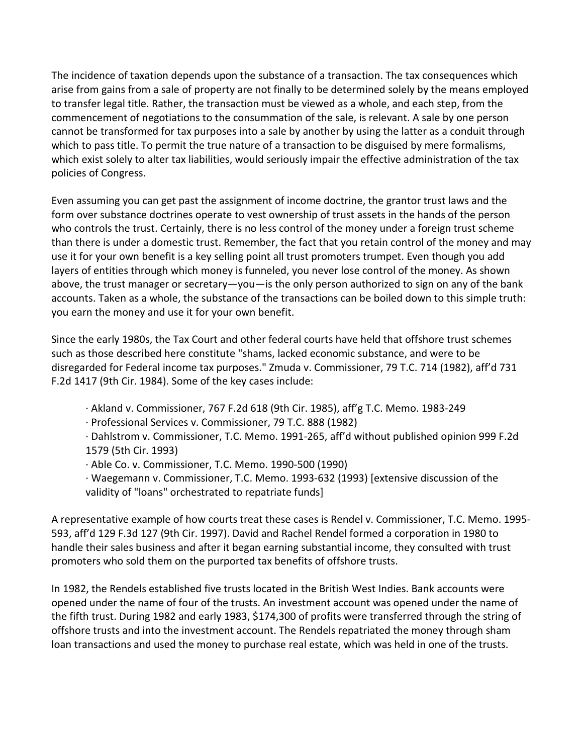The incidence of taxation depends upon the substance of a transaction. The tax consequences which arise from gains from a sale of property are not finally to be determined solely by the means employed to transfer legal title. Rather, the transaction must be viewed as a whole, and each step, from the commencement of negotiations to the consummation of the sale, is relevant. A sale by one person cannot be transformed for tax purposes into a sale by another by using the latter as a conduit through which to pass title. To permit the true nature of a transaction to be disguised by mere formalisms, which exist solely to alter tax liabilities, would seriously impair the effective administration of the tax policies of Congress.

Even assuming you can get past the assignment of income doctrine, the grantor trust laws and the form over substance doctrines operate to vest ownership of trust assets in the hands of the person who controls the trust. Certainly, there is no less control of the money under a foreign trust scheme than there is under a domestic trust. Remember, the fact that you retain control of the money and may use it for your own benefit is a key selling point all trust promoters trumpet. Even though you add layers of entities through which money is funneled, you never lose control of the money. As shown above, the trust manager or secretary—you—is the only person authorized to sign on any of the bank accounts. Taken as a whole, the substance of the transactions can be boiled down to this simple truth: you earn the money and use it for your own benefit.

Since the early 1980s, the Tax Court and other federal courts have held that offshore trust schemes such as those described here constitute "shams, lacked economic substance, and were to be disregarded for Federal income tax purposes." Zmuda v. Commissioner, 79 T.C. 714 (1982), aff'd 731 F.2d 1417 (9th Cir. 1984). Some of the key cases include:

- · Akland v. Commissioner, 767 F.2d 618 (9th Cir. 1985), aff'g T.C. Memo. 1983-249
- · Professional Services v. Commissioner, 79 T.C. 888 (1982)

· Dahlstrom v. Commissioner, T.C. Memo. 1991-265, aff'd without published opinion 999 F.2d 1579 (5th Cir. 1993)

- · Able Co. v. Commissioner, T.C. Memo. 1990-500 (1990)
- · Waegemann v. Commissioner, T.C. Memo. 1993-632 (1993) [extensive discussion of the validity of "loans" orchestrated to repatriate funds]

A representative example of how courts treat these cases is Rendel v. Commissioner, T.C. Memo. 1995- 593, aff'd 129 F.3d 127 (9th Cir. 1997). David and Rachel Rendel formed a corporation in 1980 to handle their sales business and after it began earning substantial income, they consulted with trust promoters who sold them on the purported tax benefits of offshore trusts.

In 1982, the Rendels established five trusts located in the British West Indies. Bank accounts were opened under the name of four of the trusts. An investment account was opened under the name of the fifth trust. During 1982 and early 1983, \$174,300 of profits were transferred through the string of offshore trusts and into the investment account. The Rendels repatriated the money through sham loan transactions and used the money to purchase real estate, which was held in one of the trusts.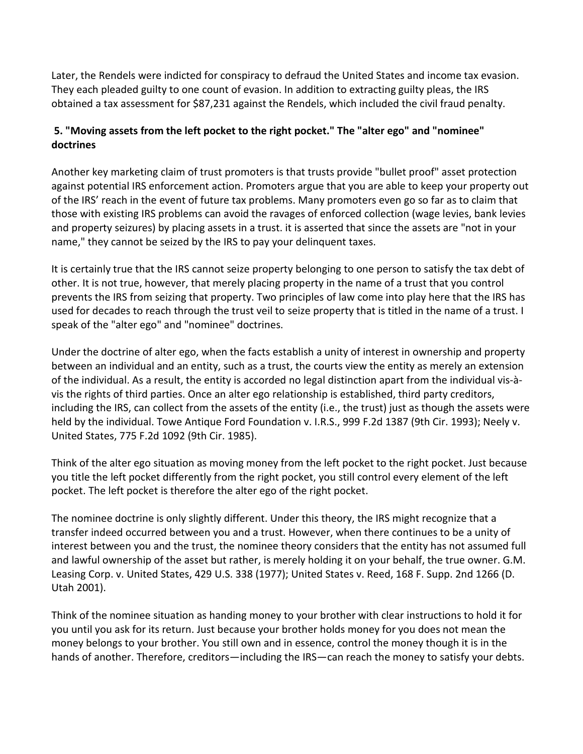Later, the Rendels were indicted for conspiracy to defraud the United States and income tax evasion. They each pleaded guilty to one count of evasion. In addition to extracting guilty pleas, the IRS obtained a tax assessment for \$87,231 against the Rendels, which included the civil fraud penalty.

# **5. "Moving assets from the left pocket to the right pocket." The "alter ego" and "nominee" doctrines**

Another key marketing claim of trust promoters is that trusts provide "bullet proof" asset protection against potential IRS enforcement action. Promoters argue that you are able to keep your property out of the IRS' reach in the event of future tax problems. Many promoters even go so far as to claim that those with existing IRS problems can avoid the ravages of enforced collection (wage levies, bank levies and property seizures) by placing assets in a trust. it is asserted that since the assets are "not in your name," they cannot be seized by the IRS to pay your delinquent taxes.

It is certainly true that the IRS cannot seize property belonging to one person to satisfy the tax debt of other. It is not true, however, that merely placing property in the name of a trust that you control prevents the IRS from seizing that property. Two principles of law come into play here that the IRS has used for decades to reach through the trust veil to seize property that is titled in the name of a trust. I speak of the "alter ego" and "nominee" doctrines.

Under the doctrine of alter ego, when the facts establish a unity of interest in ownership and property between an individual and an entity, such as a trust, the courts view the entity as merely an extension of the individual. As a result, the entity is accorded no legal distinction apart from the individual vis-àvis the rights of third parties. Once an alter ego relationship is established, third party creditors, including the IRS, can collect from the assets of the entity (i.e., the trust) just as though the assets were held by the individual. Towe Antique Ford Foundation v. I.R.S., 999 F.2d 1387 (9th Cir. 1993); Neely v. United States, 775 F.2d 1092 (9th Cir. 1985).

Think of the alter ego situation as moving money from the left pocket to the right pocket. Just because you title the left pocket differently from the right pocket, you still control every element of the left pocket. The left pocket is therefore the alter ego of the right pocket.

The nominee doctrine is only slightly different. Under this theory, the IRS might recognize that a transfer indeed occurred between you and a trust. However, when there continues to be a unity of interest between you and the trust, the nominee theory considers that the entity has not assumed full and lawful ownership of the asset but rather, is merely holding it on your behalf, the true owner. G.M. Leasing Corp. v. United States, 429 U.S. 338 (1977); United States v. Reed, 168 F. Supp. 2nd 1266 (D. Utah 2001).

Think of the nominee situation as handing money to your brother with clear instructions to hold it for you until you ask for its return. Just because your brother holds money for you does not mean the money belongs to your brother. You still own and in essence, control the money though it is in the hands of another. Therefore, creditors—including the IRS—can reach the money to satisfy your debts.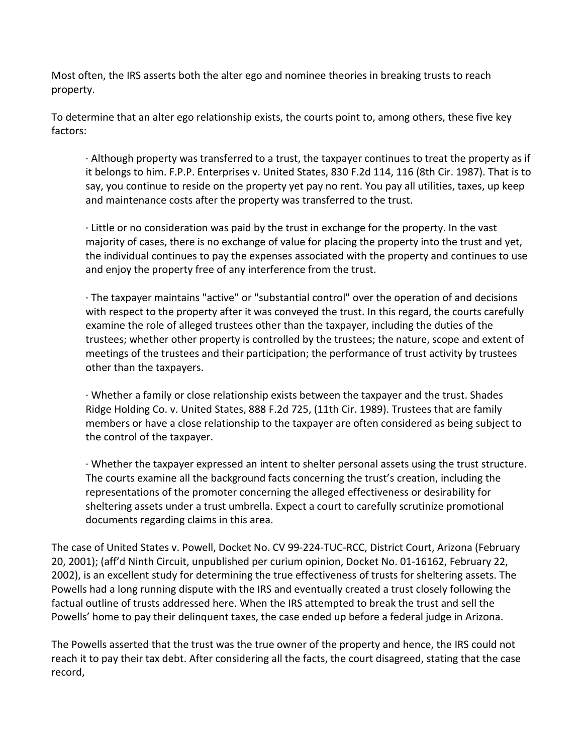Most often, the IRS asserts both the alter ego and nominee theories in breaking trusts to reach property.

To determine that an alter ego relationship exists, the courts point to, among others, these five key factors:

· Although property was transferred to a trust, the taxpayer continues to treat the property as if it belongs to him. F.P.P. Enterprises v. United States, 830 F.2d 114, 116 (8th Cir. 1987). That is to say, you continue to reside on the property yet pay no rent. You pay all utilities, taxes, up keep and maintenance costs after the property was transferred to the trust.

· Little or no consideration was paid by the trust in exchange for the property. In the vast majority of cases, there is no exchange of value for placing the property into the trust and yet, the individual continues to pay the expenses associated with the property and continues to use and enjoy the property free of any interference from the trust.

· The taxpayer maintains "active" or "substantial control" over the operation of and decisions with respect to the property after it was conveyed the trust. In this regard, the courts carefully examine the role of alleged trustees other than the taxpayer, including the duties of the trustees; whether other property is controlled by the trustees; the nature, scope and extent of meetings of the trustees and their participation; the performance of trust activity by trustees other than the taxpayers.

· Whether a family or close relationship exists between the taxpayer and the trust. Shades Ridge Holding Co. v. United States, 888 F.2d 725, (11th Cir. 1989). Trustees that are family members or have a close relationship to the taxpayer are often considered as being subject to the control of the taxpayer.

· Whether the taxpayer expressed an intent to shelter personal assets using the trust structure. The courts examine all the background facts concerning the trust's creation, including the representations of the promoter concerning the alleged effectiveness or desirability for sheltering assets under a trust umbrella. Expect a court to carefully scrutinize promotional documents regarding claims in this area.

The case of United States v. Powell, Docket No. CV 99-224-TUC-RCC, District Court, Arizona (February 20, 2001); (aff'd Ninth Circuit, unpublished per curium opinion, Docket No. 01-16162, February 22, 2002), is an excellent study for determining the true effectiveness of trusts for sheltering assets. The Powells had a long running dispute with the IRS and eventually created a trust closely following the factual outline of trusts addressed here. When the IRS attempted to break the trust and sell the Powells' home to pay their delinquent taxes, the case ended up before a federal judge in Arizona.

The Powells asserted that the trust was the true owner of the property and hence, the IRS could not reach it to pay their tax debt. After considering all the facts, the court disagreed, stating that the case record,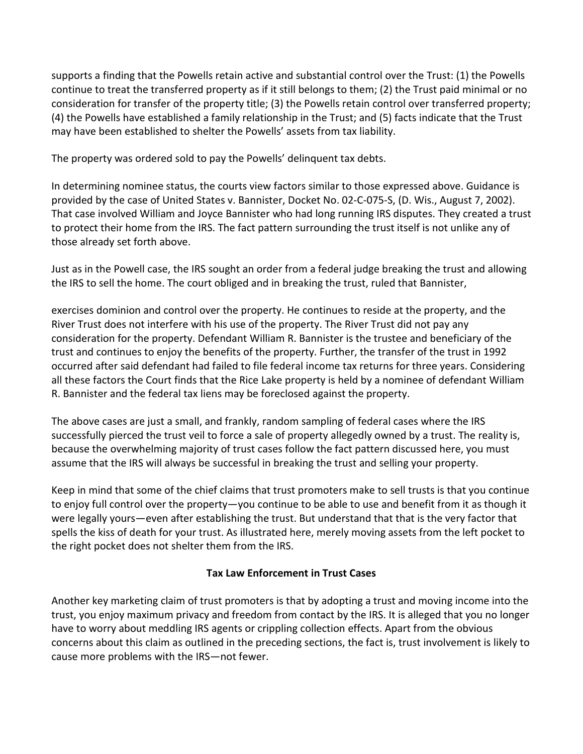supports a finding that the Powells retain active and substantial control over the Trust: (1) the Powells continue to treat the transferred property as if it still belongs to them; (2) the Trust paid minimal or no consideration for transfer of the property title; (3) the Powells retain control over transferred property; (4) the Powells have established a family relationship in the Trust; and (5) facts indicate that the Trust may have been established to shelter the Powells' assets from tax liability.

The property was ordered sold to pay the Powells' delinquent tax debts.

In determining nominee status, the courts view factors similar to those expressed above. Guidance is provided by the case of United States v. Bannister, Docket No. 02-C-075-S, (D. Wis., August 7, 2002). That case involved William and Joyce Bannister who had long running IRS disputes. They created a trust to protect their home from the IRS. The fact pattern surrounding the trust itself is not unlike any of those already set forth above.

Just as in the Powell case, the IRS sought an order from a federal judge breaking the trust and allowing the IRS to sell the home. The court obliged and in breaking the trust, ruled that Bannister,

exercises dominion and control over the property. He continues to reside at the property, and the River Trust does not interfere with his use of the property. The River Trust did not pay any consideration for the property. Defendant William R. Bannister is the trustee and beneficiary of the trust and continues to enjoy the benefits of the property. Further, the transfer of the trust in 1992 occurred after said defendant had failed to file federal income tax returns for three years. Considering all these factors the Court finds that the Rice Lake property is held by a nominee of defendant William R. Bannister and the federal tax liens may be foreclosed against the property.

The above cases are just a small, and frankly, random sampling of federal cases where the IRS successfully pierced the trust veil to force a sale of property allegedly owned by a trust. The reality is, because the overwhelming majority of trust cases follow the fact pattern discussed here, you must assume that the IRS will always be successful in breaking the trust and selling your property.

Keep in mind that some of the chief claims that trust promoters make to sell trusts is that you continue to enjoy full control over the property—you continue to be able to use and benefit from it as though it were legally yours—even after establishing the trust. But understand that that is the very factor that spells the kiss of death for your trust. As illustrated here, merely moving assets from the left pocket to the right pocket does not shelter them from the IRS.

#### **Tax Law Enforcement in Trust Cases**

Another key marketing claim of trust promoters is that by adopting a trust and moving income into the trust, you enjoy maximum privacy and freedom from contact by the IRS. It is alleged that you no longer have to worry about meddling IRS agents or crippling collection effects. Apart from the obvious concerns about this claim as outlined in the preceding sections, the fact is, trust involvement is likely to cause more problems with the IRS—not fewer.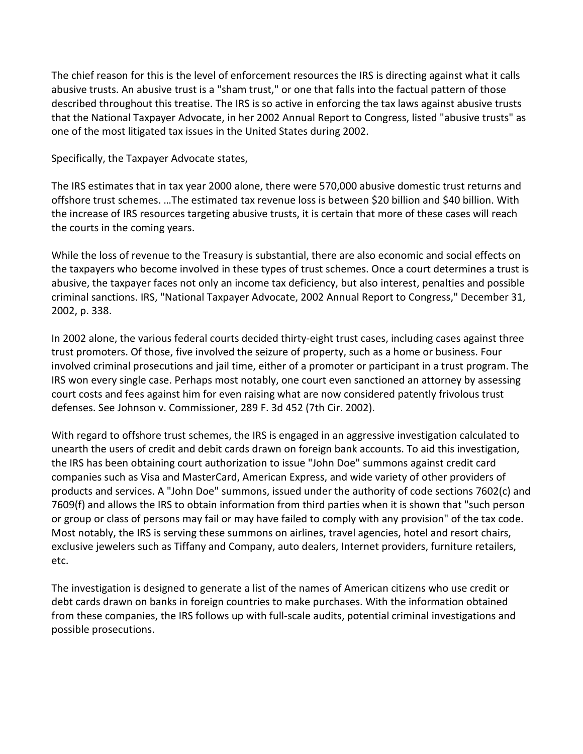The chief reason for this is the level of enforcement resources the IRS is directing against what it calls abusive trusts. An abusive trust is a "sham trust," or one that falls into the factual pattern of those described throughout this treatise. The IRS is so active in enforcing the tax laws against abusive trusts that the National Taxpayer Advocate, in her 2002 Annual Report to Congress, listed "abusive trusts" as one of the most litigated tax issues in the United States during 2002.

Specifically, the Taxpayer Advocate states,

The IRS estimates that in tax year 2000 alone, there were 570,000 abusive domestic trust returns and offshore trust schemes. …The estimated tax revenue loss is between \$20 billion and \$40 billion. With the increase of IRS resources targeting abusive trusts, it is certain that more of these cases will reach the courts in the coming years.

While the loss of revenue to the Treasury is substantial, there are also economic and social effects on the taxpayers who become involved in these types of trust schemes. Once a court determines a trust is abusive, the taxpayer faces not only an income tax deficiency, but also interest, penalties and possible criminal sanctions. IRS, "National Taxpayer Advocate, 2002 Annual Report to Congress," December 31, 2002, p. 338.

In 2002 alone, the various federal courts decided thirty-eight trust cases, including cases against three trust promoters. Of those, five involved the seizure of property, such as a home or business. Four involved criminal prosecutions and jail time, either of a promoter or participant in a trust program. The IRS won every single case. Perhaps most notably, one court even sanctioned an attorney by assessing court costs and fees against him for even raising what are now considered patently frivolous trust defenses. See Johnson v. Commissioner, 289 F. 3d 452 (7th Cir. 2002).

With regard to offshore trust schemes, the IRS is engaged in an aggressive investigation calculated to unearth the users of credit and debit cards drawn on foreign bank accounts. To aid this investigation, the IRS has been obtaining court authorization to issue "John Doe" summons against credit card companies such as Visa and MasterCard, American Express, and wide variety of other providers of products and services. A "John Doe" summons, issued under the authority of code sections 7602(c) and 7609(f) and allows the IRS to obtain information from third parties when it is shown that "such person or group or class of persons may fail or may have failed to comply with any provision" of the tax code. Most notably, the IRS is serving these summons on airlines, travel agencies, hotel and resort chairs, exclusive jewelers such as Tiffany and Company, auto dealers, Internet providers, furniture retailers, etc.

The investigation is designed to generate a list of the names of American citizens who use credit or debt cards drawn on banks in foreign countries to make purchases. With the information obtained from these companies, the IRS follows up with full-scale audits, potential criminal investigations and possible prosecutions.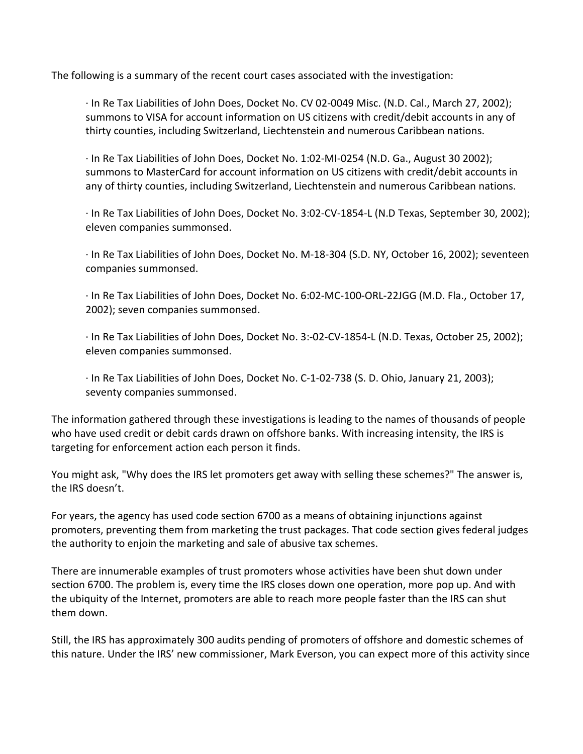The following is a summary of the recent court cases associated with the investigation:

· In Re Tax Liabilities of John Does, Docket No. CV 02-0049 Misc. (N.D. Cal., March 27, 2002); summons to VISA for account information on US citizens with credit/debit accounts in any of thirty counties, including Switzerland, Liechtenstein and numerous Caribbean nations.

· In Re Tax Liabilities of John Does, Docket No. 1:02-MI-0254 (N.D. Ga., August 30 2002); summons to MasterCard for account information on US citizens with credit/debit accounts in any of thirty counties, including Switzerland, Liechtenstein and numerous Caribbean nations.

· In Re Tax Liabilities of John Does, Docket No. 3:02-CV-1854-L (N.D Texas, September 30, 2002); eleven companies summonsed.

· In Re Tax Liabilities of John Does, Docket No. M-18-304 (S.D. NY, October 16, 2002); seventeen companies summonsed.

· In Re Tax Liabilities of John Does, Docket No. 6:02-MC-100-ORL-22JGG (M.D. Fla., October 17, 2002); seven companies summonsed.

· In Re Tax Liabilities of John Does, Docket No. 3:-02-CV-1854-L (N.D. Texas, October 25, 2002); eleven companies summonsed.

· In Re Tax Liabilities of John Does, Docket No. C-1-02-738 (S. D. Ohio, January 21, 2003); seventy companies summonsed.

The information gathered through these investigations is leading to the names of thousands of people who have used credit or debit cards drawn on offshore banks. With increasing intensity, the IRS is targeting for enforcement action each person it finds.

You might ask, "Why does the IRS let promoters get away with selling these schemes?" The answer is, the IRS doesn't.

For years, the agency has used code section 6700 as a means of obtaining injunctions against promoters, preventing them from marketing the trust packages. That code section gives federal judges the authority to enjoin the marketing and sale of abusive tax schemes.

There are innumerable examples of trust promoters whose activities have been shut down under section 6700. The problem is, every time the IRS closes down one operation, more pop up. And with the ubiquity of the Internet, promoters are able to reach more people faster than the IRS can shut them down.

Still, the IRS has approximately 300 audits pending of promoters of offshore and domestic schemes of this nature. Under the IRS' new commissioner, Mark Everson, you can expect more of this activity since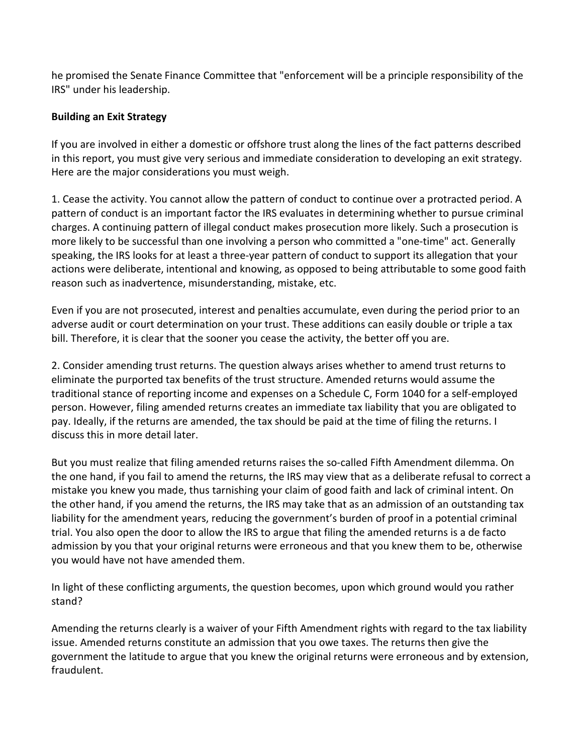he promised the Senate Finance Committee that "enforcement will be a principle responsibility of the IRS" under his leadership.

#### **Building an Exit Strategy**

If you are involved in either a domestic or offshore trust along the lines of the fact patterns described in this report, you must give very serious and immediate consideration to developing an exit strategy. Here are the major considerations you must weigh.

1. Cease the activity. You cannot allow the pattern of conduct to continue over a protracted period. A pattern of conduct is an important factor the IRS evaluates in determining whether to pursue criminal charges. A continuing pattern of illegal conduct makes prosecution more likely. Such a prosecution is more likely to be successful than one involving a person who committed a "one-time" act. Generally speaking, the IRS looks for at least a three-year pattern of conduct to support its allegation that your actions were deliberate, intentional and knowing, as opposed to being attributable to some good faith reason such as inadvertence, misunderstanding, mistake, etc.

Even if you are not prosecuted, interest and penalties accumulate, even during the period prior to an adverse audit or court determination on your trust. These additions can easily double or triple a tax bill. Therefore, it is clear that the sooner you cease the activity, the better off you are.

2. Consider amending trust returns. The question always arises whether to amend trust returns to eliminate the purported tax benefits of the trust structure. Amended returns would assume the traditional stance of reporting income and expenses on a Schedule C, Form 1040 for a self-employed person. However, filing amended returns creates an immediate tax liability that you are obligated to pay. Ideally, if the returns are amended, the tax should be paid at the time of filing the returns. I discuss this in more detail later.

But you must realize that filing amended returns raises the so-called Fifth Amendment dilemma. On the one hand, if you fail to amend the returns, the IRS may view that as a deliberate refusal to correct a mistake you knew you made, thus tarnishing your claim of good faith and lack of criminal intent. On the other hand, if you amend the returns, the IRS may take that as an admission of an outstanding tax liability for the amendment years, reducing the government's burden of proof in a potential criminal trial. You also open the door to allow the IRS to argue that filing the amended returns is a de facto admission by you that your original returns were erroneous and that you knew them to be, otherwise you would have not have amended them.

In light of these conflicting arguments, the question becomes, upon which ground would you rather stand?

Amending the returns clearly is a waiver of your Fifth Amendment rights with regard to the tax liability issue. Amended returns constitute an admission that you owe taxes. The returns then give the government the latitude to argue that you knew the original returns were erroneous and by extension, fraudulent.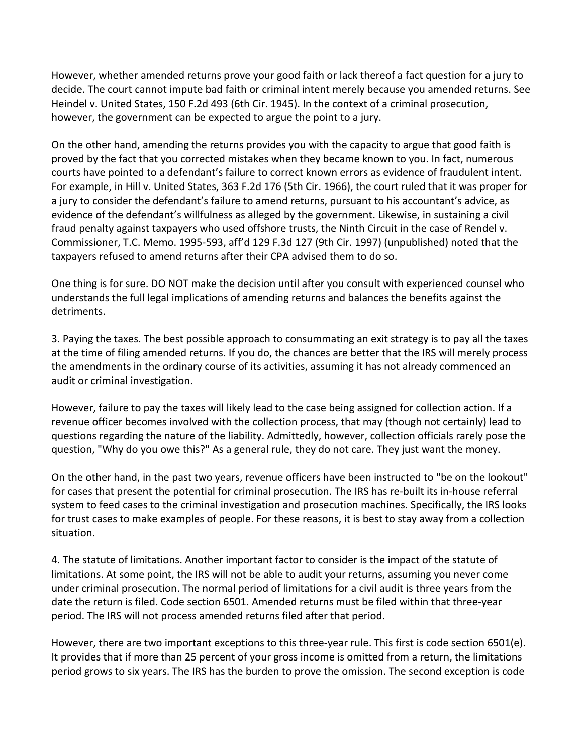However, whether amended returns prove your good faith or lack thereof a fact question for a jury to decide. The court cannot impute bad faith or criminal intent merely because you amended returns. See Heindel v. United States, 150 F.2d 493 (6th Cir. 1945). In the context of a criminal prosecution, however, the government can be expected to argue the point to a jury.

On the other hand, amending the returns provides you with the capacity to argue that good faith is proved by the fact that you corrected mistakes when they became known to you. In fact, numerous courts have pointed to a defendant's failure to correct known errors as evidence of fraudulent intent. For example, in Hill v. United States, 363 F.2d 176 (5th Cir. 1966), the court ruled that it was proper for a jury to consider the defendant's failure to amend returns, pursuant to his accountant's advice, as evidence of the defendant's willfulness as alleged by the government. Likewise, in sustaining a civil fraud penalty against taxpayers who used offshore trusts, the Ninth Circuit in the case of Rendel v. Commissioner, T.C. Memo. 1995-593, aff'd 129 F.3d 127 (9th Cir. 1997) (unpublished) noted that the taxpayers refused to amend returns after their CPA advised them to do so.

One thing is for sure. DO NOT make the decision until after you consult with experienced counsel who understands the full legal implications of amending returns and balances the benefits against the detriments.

3. Paying the taxes. The best possible approach to consummating an exit strategy is to pay all the taxes at the time of filing amended returns. If you do, the chances are better that the IRS will merely process the amendments in the ordinary course of its activities, assuming it has not already commenced an audit or criminal investigation.

However, failure to pay the taxes will likely lead to the case being assigned for collection action. If a revenue officer becomes involved with the collection process, that may (though not certainly) lead to questions regarding the nature of the liability. Admittedly, however, collection officials rarely pose the question, "Why do you owe this?" As a general rule, they do not care. They just want the money.

On the other hand, in the past two years, revenue officers have been instructed to "be on the lookout" for cases that present the potential for criminal prosecution. The IRS has re-built its in-house referral system to feed cases to the criminal investigation and prosecution machines. Specifically, the IRS looks for trust cases to make examples of people. For these reasons, it is best to stay away from a collection situation.

4. The statute of limitations. Another important factor to consider is the impact of the statute of limitations. At some point, the IRS will not be able to audit your returns, assuming you never come under criminal prosecution. The normal period of limitations for a civil audit is three years from the date the return is filed. Code section 6501. Amended returns must be filed within that three-year period. The IRS will not process amended returns filed after that period.

However, there are two important exceptions to this three-year rule. This first is code section 6501(e). It provides that if more than 25 percent of your gross income is omitted from a return, the limitations period grows to six years. The IRS has the burden to prove the omission. The second exception is code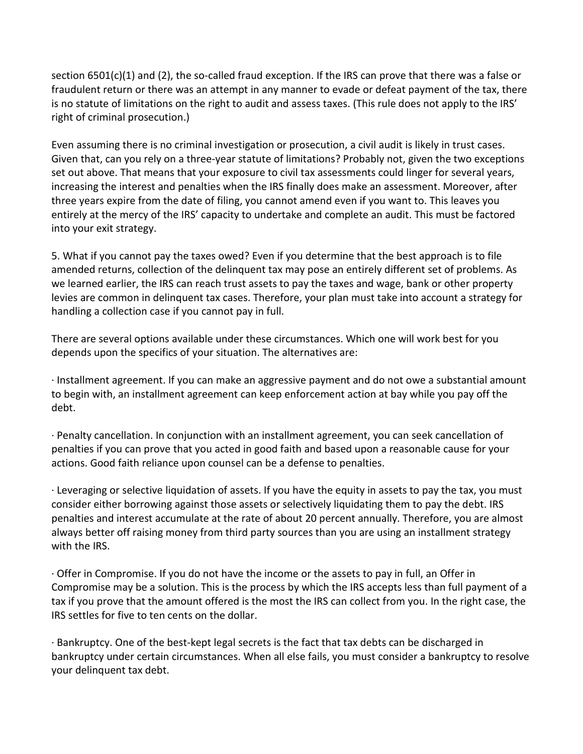section 6501(c)(1) and (2), the so-called fraud exception. If the IRS can prove that there was a false or fraudulent return or there was an attempt in any manner to evade or defeat payment of the tax, there is no statute of limitations on the right to audit and assess taxes. (This rule does not apply to the IRS' right of criminal prosecution.)

Even assuming there is no criminal investigation or prosecution, a civil audit is likely in trust cases. Given that, can you rely on a three-year statute of limitations? Probably not, given the two exceptions set out above. That means that your exposure to civil tax assessments could linger for several years, increasing the interest and penalties when the IRS finally does make an assessment. Moreover, after three years expire from the date of filing, you cannot amend even if you want to. This leaves you entirely at the mercy of the IRS' capacity to undertake and complete an audit. This must be factored into your exit strategy.

5. What if you cannot pay the taxes owed? Even if you determine that the best approach is to file amended returns, collection of the delinquent tax may pose an entirely different set of problems. As we learned earlier, the IRS can reach trust assets to pay the taxes and wage, bank or other property levies are common in delinquent tax cases. Therefore, your plan must take into account a strategy for handling a collection case if you cannot pay in full.

There are several options available under these circumstances. Which one will work best for you depends upon the specifics of your situation. The alternatives are:

· Installment agreement. If you can make an aggressive payment and do not owe a substantial amount to begin with, an installment agreement can keep enforcement action at bay while you pay off the debt.

· Penalty cancellation. In conjunction with an installment agreement, you can seek cancellation of penalties if you can prove that you acted in good faith and based upon a reasonable cause for your actions. Good faith reliance upon counsel can be a defense to penalties.

· Leveraging or selective liquidation of assets. If you have the equity in assets to pay the tax, you must consider either borrowing against those assets or selectively liquidating them to pay the debt. IRS penalties and interest accumulate at the rate of about 20 percent annually. Therefore, you are almost always better off raising money from third party sources than you are using an installment strategy with the IRS.

· Offer in Compromise. If you do not have the income or the assets to pay in full, an Offer in Compromise may be a solution. This is the process by which the IRS accepts less than full payment of a tax if you prove that the amount offered is the most the IRS can collect from you. In the right case, the IRS settles for five to ten cents on the dollar.

· Bankruptcy. One of the best-kept legal secrets is the fact that tax debts can be discharged in bankruptcy under certain circumstances. When all else fails, you must consider a bankruptcy to resolve your delinquent tax debt.